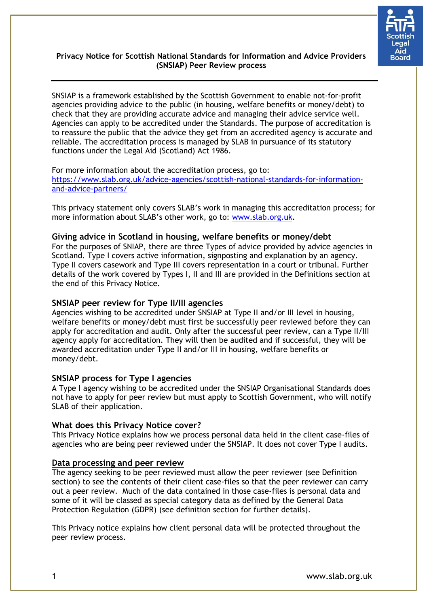

# **Privacy Notice for Scottish National Standards for Information and Advice Providers (SNSIAP) Peer Review process**

SNSIAP is a framework established by the Scottish Government to enable not-for-profit agencies providing advice to the public (in housing, welfare benefits or money/debt) to check that they are providing accurate advice and managing their advice service well. Agencies can apply to be accredited under the Standards. The purpose of accreditation is to reassure the public that the advice they get from an accredited agency is accurate and reliable. The accreditation process is managed by SLAB in pursuance of its statutory functions under the Legal Aid (Scotland) Act 1986.

### For more information about the accreditation process, go to: [https://www.slab.org.uk/advice-agencies/scottish-national-standards-for-information](https://www.slab.org.uk/advice-agencies/scottish-national-standards-for-information-and-advice-partners/)[and-advice-partners/](https://www.slab.org.uk/advice-agencies/scottish-national-standards-for-information-and-advice-partners/)

This privacy statement only covers SLAB's work in managing this accreditation process; for more information about SLAB's other work, go to: [www.slab.org.uk.](http://www.slab.org.uk/)

# **Giving advice in Scotland in housing, welfare benefits or money/debt**

For the purposes of SNIAP, there are three Types of advice provided by advice agencies in Scotland. Type I covers active information, signposting and explanation by an agency. Type II covers casework and Type III covers representation in a court or tribunal. Further details of the work covered by Types I, II and III are provided in the Definitions section at the end of this Privacy Notice.

# **SNSIAP peer review for Type II/III agencies**

Agencies wishing to be accredited under SNSIAP at Type II and/or III level in housing, welfare benefits or money/debt must first be successfully peer reviewed before they can apply for accreditation and audit. Only after the successful peer review, can a Type II/III agency apply for accreditation. They will then be audited and if successful, they will be awarded accreditation under Type II and/or III in housing, welfare benefits or money/debt.

# **SNSIAP process for Type I agencies**

A Type I agency wishing to be accredited under the SNSIAP Organisational Standards does not have to apply for peer review but must apply to Scottish Government, who will notify SLAB of their application.

## **What does this Privacy Notice cover?**

This Privacy Notice explains how we process personal data held in the client case-files of agencies who are being peer reviewed under the SNSIAP. It does not cover Type I audits.

## **Data processing and peer review**

The agency seeking to be peer reviewed must allow the peer reviewer (see Definition section) to see the contents of their client case-files so that the peer reviewer can carry out a peer review. Much of the data contained in those case-files is personal data and some of it will be classed as special category data as defined by the General Data Protection Regulation (GDPR) (see definition section for further details).

This Privacy notice explains how client personal data will be protected throughout the peer review process.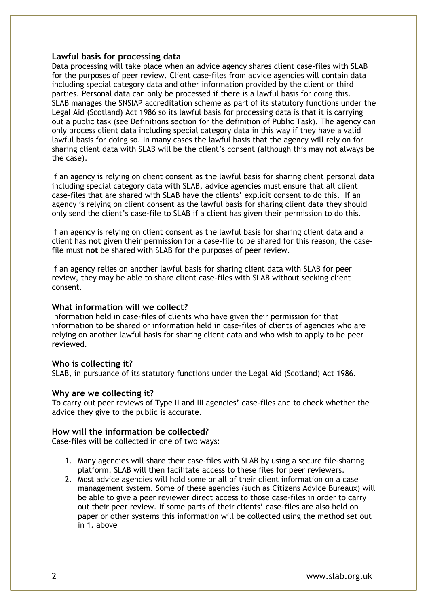#### **Lawful basis for processing data**

Data processing will take place when an advice agency shares client case-files with SLAB for the purposes of peer review. Client case-files from advice agencies will contain data including special category data and other information provided by the client or third parties. Personal data can only be processed if there is a lawful basis for doing this. SLAB manages the SNSIAP accreditation scheme as part of its statutory functions under the Legal Aid (Scotland) Act 1986 so its lawful basis for processing data is that it is carrying out a public task (see Definitions section for the definition of Public Task). The agency can only process client data including special category data in this way if they have a valid lawful basis for doing so. In many cases the lawful basis that the agency will rely on for sharing client data with SLAB will be the client's consent (although this may not always be the case).

If an agency is relying on client consent as the lawful basis for sharing client personal data including special category data with SLAB, advice agencies must ensure that all client case-files that are shared with SLAB have the clients' explicit consent to do this. If an agency is relying on client consent as the lawful basis for sharing client data they should only send the client's case-file to SLAB if a client has given their permission to do this.

If an agency is relying on client consent as the lawful basis for sharing client data and a client has **not** given their permission for a case-file to be shared for this reason, the casefile must **not** be shared with SLAB for the purposes of peer review.

If an agency relies on another lawful basis for sharing client data with SLAB for peer review, they may be able to share client case-files with SLAB without seeking client consent.

#### **What information will we collect?**

Information held in case-files of clients who have given their permission for that information to be shared or information held in case-files of clients of agencies who are relying on another lawful basis for sharing client data and who wish to apply to be peer reviewed.

#### **Who is collecting it?**

SLAB, in pursuance of its statutory functions under the Legal Aid (Scotland) Act 1986.

#### **Why are we collecting it?**

To carry out peer reviews of Type II and III agencies' case-files and to check whether the advice they give to the public is accurate.

#### **How will the information be collected?**

Case-files will be collected in one of two ways:

- 1. Many agencies will share their case-files with SLAB by using a secure file-sharing platform. SLAB will then facilitate access to these files for peer reviewers.
- 2. Most advice agencies will hold some or all of their client information on a case management system. Some of these agencies (such as Citizens Advice Bureaux) will be able to give a peer reviewer direct access to those case-files in order to carry out their peer review. If some parts of their clients' case-files are also held on paper or other systems this information will be collected using the method set out in 1. above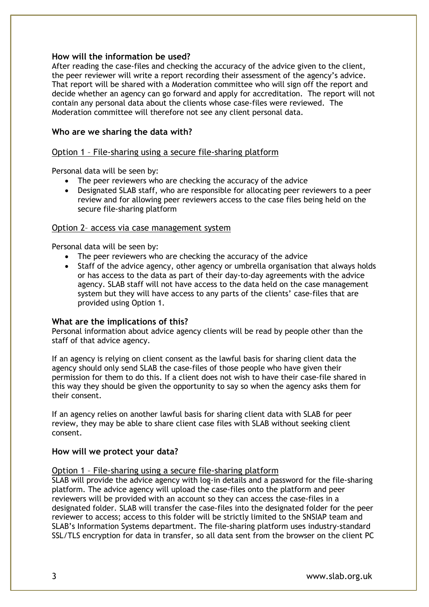## **How will the information be used?**

After reading the case-files and checking the accuracy of the advice given to the client, the peer reviewer will write a report recording their assessment of the agency's advice. That report will be shared with a Moderation committee who will sign off the report and decide whether an agency can go forward and apply for accreditation. The report will not contain any personal data about the clients whose case-files were reviewed. The Moderation committee will therefore not see any client personal data.

## **Who are we sharing the data with?**

## Option 1 – File-sharing using a secure file-sharing platform

Personal data will be seen by:

- The peer reviewers who are checking the accuracy of the advice
- Designated SLAB staff, who are responsible for allocating peer reviewers to a peer review and for allowing peer reviewers access to the case files being held on the secure file-sharing platform

## Option 2– access via case management system

Personal data will be seen by:

- The peer reviewers who are checking the accuracy of the advice
- Staff of the advice agency, other agency or umbrella organisation that always holds or has access to the data as part of their day-to-day agreements with the advice agency. SLAB staff will not have access to the data held on the case management system but they will have access to any parts of the clients' case-files that are provided using Option 1.

## **What are the implications of this?**

Personal information about advice agency clients will be read by people other than the staff of that advice agency.

If an agency is relying on client consent as the lawful basis for sharing client data the agency should only send SLAB the case-files of those people who have given their permission for them to do this. If a client does not wish to have their case-file shared in this way they should be given the opportunity to say so when the agency asks them for their consent.

If an agency relies on another lawful basis for sharing client data with SLAB for peer review, they may be able to share client case files with SLAB without seeking client consent.

# **How will we protect your data?**

## Option 1 – File-sharing using a secure file-sharing platform

SLAB will provide the advice agency with log-in details and a password for the file-sharing platform. The advice agency will upload the case-files onto the platform and peer reviewers will be provided with an account so they can access the case-files in a designated folder. SLAB will transfer the case-files into the designated folder for the peer reviewer to access; access to this folder will be strictly limited to the SNSIAP team and SLAB's Information Systems department. The file-sharing platform uses industry-standard SSL/TLS encryption for data in transfer, so all data sent from the browser on the client PC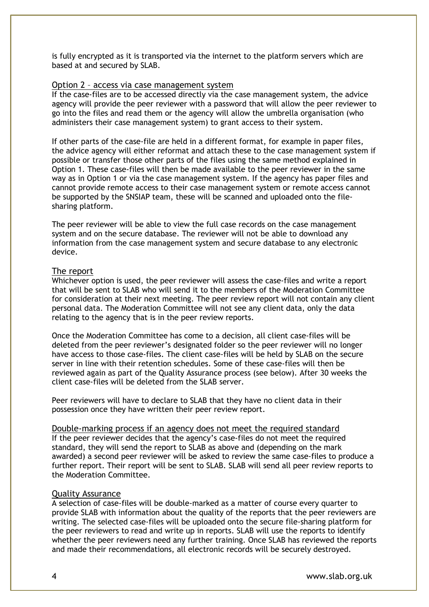is fully encrypted as it is transported via the internet to the platform servers which are based at and secured by SLAB.

#### Option 2 – access via case management system

If the case-files are to be accessed directly via the case management system, the advice agency will provide the peer reviewer with a password that will allow the peer reviewer to go into the files and read them or the agency will allow the umbrella organisation (who administers their case management system) to grant access to their system.

If other parts of the case-file are held in a different format, for example in paper files, the advice agency will either reformat and attach these to the case management system if possible or transfer those other parts of the files using the same method explained in Option 1. These case-files will then be made available to the peer reviewer in the same way as in Option 1 or via the case management system. If the agency has paper files and cannot provide remote access to their case management system or remote access cannot be supported by the SNSIAP team, these will be scanned and uploaded onto the filesharing platform.

The peer reviewer will be able to view the full case records on the case management system and on the secure database. The reviewer will not be able to download any information from the case management system and secure database to any electronic device.

#### The report

Whichever option is used, the peer reviewer will assess the case-files and write a report that will be sent to SLAB who will send it to the members of the Moderation Committee for consideration at their next meeting. The peer review report will not contain any client personal data. The Moderation Committee will not see any client data, only the data relating to the agency that is in the peer review reports.

Once the Moderation Committee has come to a decision, all client case-files will be deleted from the peer reviewer's designated folder so the peer reviewer will no longer have access to those case-files. The client case-files will be held by SLAB on the secure server in line with their retention schedules. Some of these case-files will then be reviewed again as part of the Quality Assurance process (see below). After 30 weeks the client case-files will be deleted from the SLAB server.

Peer reviewers will have to declare to SLAB that they have no client data in their possession once they have written their peer review report.

Double-marking process if an agency does not meet the required standard If the peer reviewer decides that the agency's case-files do not meet the required standard, they will send the report to SLAB as above and (depending on the mark awarded) a second peer reviewer will be asked to review the same case-files to produce a further report. Their report will be sent to SLAB. SLAB will send all peer review reports to the Moderation Committee.

### Quality Assurance

A selection of case-files will be double-marked as a matter of course every quarter to provide SLAB with information about the quality of the reports that the peer reviewers are writing. The selected case-files will be uploaded onto the secure file-sharing platform for the peer reviewers to read and write up in reports. SLAB will use the reports to identify whether the peer reviewers need any further training. Once SLAB has reviewed the reports and made their recommendations, all electronic records will be securely destroyed.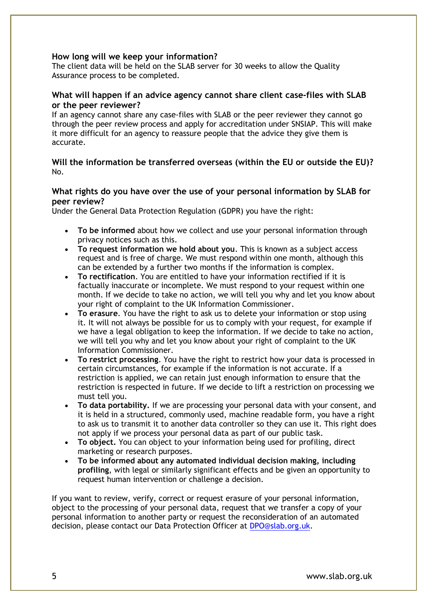## **How long will we keep your information?**

The client data will be held on the SLAB server for 30 weeks to allow the Quality Assurance process to be completed.

## **What will happen if an advice agency cannot share client case-files with SLAB or the peer reviewer?**

If an agency cannot share any case-files with SLAB or the peer reviewer they cannot go through the peer review process and apply for accreditation under SNSIAP. This will make it more difficult for an agency to reassure people that the advice they give them is accurate.

## **Will the information be transferred overseas (within the EU or outside the EU)?**  No.

## **What rights do you have over the use of your personal information by SLAB for peer review?**

Under the General Data Protection Regulation (GDPR) you have the right:

- **To be informed** about how we collect and use your personal information through privacy notices such as this.
- **To request information we hold about you**. This is known as a subject access request and is free of charge. We must respond within one month, although this can be extended by a further two months if the information is complex.
- **To rectification**. You are entitled to have your information rectified if it is factually inaccurate or incomplete. We must respond to your request within one month. If we decide to take no action, we will tell you why and let you know about your right of complaint to the UK Information Commissioner.
- **To erasure**. You have the right to ask us to delete your information or stop using it. It will not always be possible for us to comply with your request, for example if we have a legal obligation to keep the information. If we decide to take no action, we will tell you why and let you know about your right of complaint to the UK Information Commissioner.
- **To restrict processing**. You have the right to restrict how your data is processed in certain circumstances, for example if the information is not accurate. If a restriction is applied, we can retain just enough information to ensure that the restriction is respected in future. If we decide to lift a restriction on processing we must tell you.
- **To data portability.** If we are processing your personal data with your consent, and it is held in a structured, commonly used, machine readable form, you have a right to ask us to transmit it to another data controller so they can use it. This right does not apply if we process your personal data as part of our public task.
- **To object.** You can object to your information being used for profiling, direct marketing or research purposes.
- **To be informed about any automated individual decision making, including profiling**, with legal or similarly significant effects and be given an opportunity to request human intervention or challenge a decision.

If you want to review, verify, correct or request erasure of your personal information, object to the processing of your personal data, request that we transfer a copy of your personal information to another party or request the reconsideration of an automated decision, please contact our Data Protection Officer at [DPO@slab.org.uk.](mailto:DPO@slab.org.uk)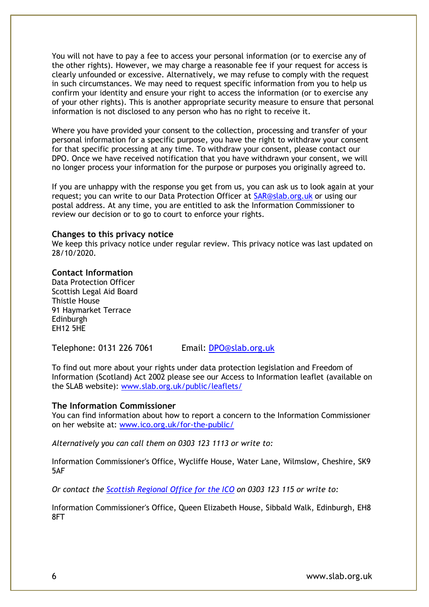You will not have to pay a fee to access your personal information (or to exercise any of the other rights). However, we may charge a reasonable fee if your request for access is clearly unfounded or excessive. Alternatively, we may refuse to comply with the request in such circumstances. We may need to request specific information from you to help us confirm your identity and ensure your right to access the information (or to exercise any of your other rights). This is another appropriate security measure to ensure that personal information is not disclosed to any person who has no right to receive it.

Where you have provided your consent to the collection, processing and transfer of your personal information for a specific purpose, you have the right to withdraw your consent for that specific processing at any time. To withdraw your consent, please contact our DPO. Once we have received notification that you have withdrawn your consent, we will no longer process your information for the purpose or purposes you originally agreed to.

If you are unhappy with the response you get from us, you can ask us to look again at your request; you can write to our Data Protection Officer at [SAR@slab.org.uk](mailto:SAR@slab.org.uk) or using our postal address. At any time, you are entitled to ask the Information Commissioner to review our decision or to go to court to enforce your rights.

#### **Changes to this privacy notice**

We keep this privacy notice under regular review. This privacy notice was last updated on 28/10/2020.

#### **Contact Information**

Data Protection Officer Scottish Legal Aid Board Thistle House 91 Haymarket Terrace Edinburgh EH12 5HE

Telephone: 0131 226 7061 Email: [DPO@slab.org.uk](mailto:DPO@slab.org.uk)

To find out more about your rights under data protection legislation and Freedom of Information (Scotland) Act 2002 please see our Access to Information leaflet (available on the SLAB website): [www.slab.org.uk/public/leaflets/](https://www.slab.org.uk/public/leaflets/)

#### **The Information Commissioner**

You can find information about how to report a concern to the Information Commissioner on her website at: [www.ico.org.uk/for-the-public/](https://www.slab.org.uk/about-us/access-to-information/www.ico.org.uk/for-the-public/) 

*Alternatively you can call them on 0303 123 1113 or write to:* 

Information Commissioner's Office, Wycliffe House, Water Lane, Wilmslow, Cheshire, SK9 5AF

*Or contact the [Scottish Regional Office for the ICO](http://www.ico.org.uk/about-the-ico/who-we-are/scotland-office/) on 0303 123 115 or write to:*

Information Commissioner's Office, Queen Elizabeth House, Sibbald Walk, Edinburgh, EH8 8FT